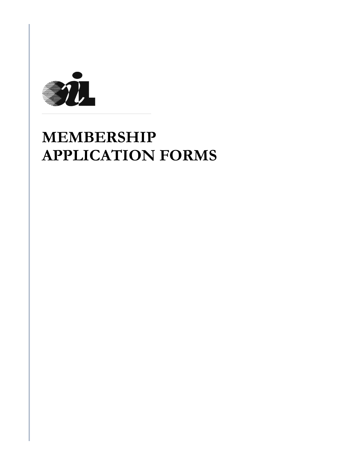

# **MEMBERSHIP APPLICATION FORMS**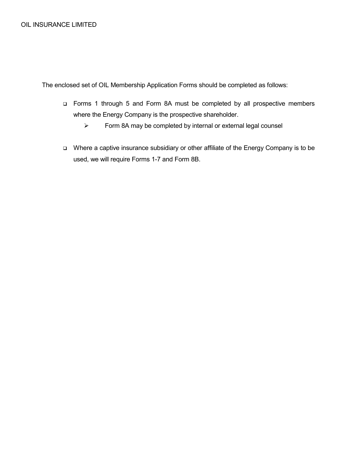The enclosed set of OIL Membership Application Forms should be completed as follows:

- Forms 1 through 5 and Form 8A must be completed by all prospective members where the Energy Company is the prospective shareholder.
	- $\triangleright$  Form 8A may be completed by internal or external legal counsel
- Where a captive insurance subsidiary or other affiliate of the Energy Company is to be used, we will require Forms 1-7 and Form 8B.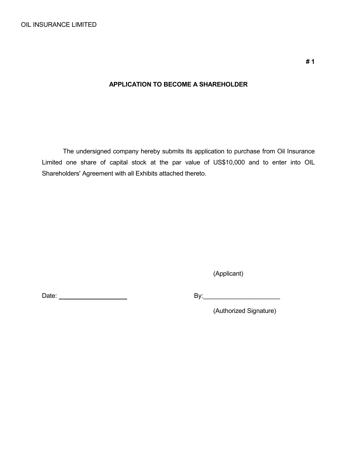## **APPLICATION TO BECOME A SHAREHOLDER**

The undersigned company hereby submits its application to purchase from Oil Insurance Limited one share of capital stock at the par value of US\$10,000 and to enter into OIL Shareholders' Agreement with all Exhibits attached thereto.

(Applicant)

Date: By:\_\_\_\_\_\_\_\_\_\_\_\_\_\_\_\_\_\_\_\_\_\_

(Authorized Signature)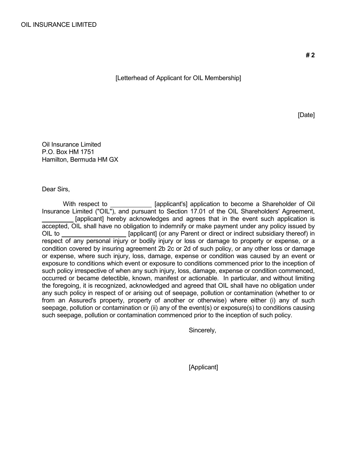[Letterhead of Applicant for OIL Membership]

[Date]

Oil Insurance Limited P.O. Box HM 1751 Hamilton, Bermuda HM GX

Dear Sirs,

With respect to **Exercise 2** [applicant's] application to become a Shareholder of Oil Insurance Limited ("OIL"), and pursuant to Section 17.01 of the OIL Shareholders' Agreement, [applicant] hereby acknowledges and agrees that in the event such application is accepted, OIL shall have no obligation to indemnify or make payment under any policy issued by OIL to [applicant] (or any Parent or direct or indirect subsidiary thereof) in respect of any personal injury or bodily injury or loss or damage to property or expense, or a condition covered by insuring agreement 2b 2c or 2d of such policy, or any other loss or damage or expense, where such injury, loss, damage, expense or condition was caused by an event or exposure to conditions which event or exposure to conditions commenced prior to the inception of such policy irrespective of when any such injury, loss, damage, expense or condition commenced, occurred or became detectible, known, manifest or actionable. In particular, and without limiting the foregoing, it is recognized, acknowledged and agreed that OIL shall have no obligation under any such policy in respect of or arising out of seepage, pollution or contamination (whether to or from an Assured's property, property of another or otherwise) where either (i) any of such seepage, pollution or contamination or (ii) any of the event(s) or exposure(s) to conditions causing such seepage, pollution or contamination commenced prior to the inception of such policy.

Sincerely,

[Applicant]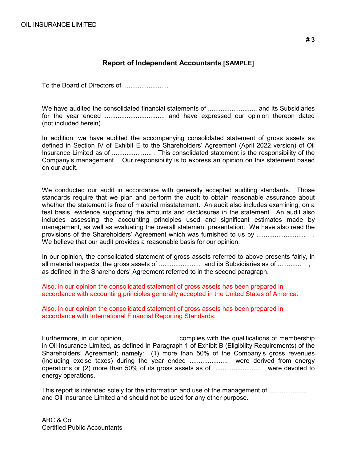## **Report of Independent Accountants [SAMPLE]**

To the Board of Directors of .........................

We have audited the consolidated financial statements of ........................... and its Subsidiaries for the year ended ................................. and have expressed our opinion thereon dated (not included herein).

In addition, we have audited the accompanying consolidated statement of gross assets as defined in Section IV of Exhibit E to the Shareholders' Agreement (April 2022 version) of Oil Insurance Limited as of ...................... . This consolidated statement is the responsibility of the Company's management. Our responsibility is to express an opinion on this statement based on our audit.

We conducted our audit in accordance with generally accepted auditing standards. Those standards require that we plan and perform the audit to obtain reasonable assurance about whether the statement is free of material misstatement. An audit also includes examining, on a test basis, evidence supporting the amounts and disclosures in the statement. An audit also includes assessing the accounting principles used and significant estimates made by management, as well as evaluating the overall statement presentation. We have also read the provisions of the Shareholders' Agreement which was furnished to us by ........................... . We believe that our audit provides a reasonable basis for our opinion.

In our opinion, the consolidated statement of gross assets referred to above presents fairly, in all material respects, the gross assets of ....................... and its Subsidiaries as of ............. .. , as defined in the Shareholders' Agreement referred to in the second paragraph.

Also, in our opinion the consolidated statement of gross assets has been prepared in accordance with accounting principles generally accepted in the United States of America.

Also, in our opinion the consolidated statement of gross assets has been prepared in accordance with International Financial Reporting Standards.

Furthermore, in our opinion, .......................... complies with the qualifications of membership in Oil Insurance Limited, as defined in Paragraph 1 of Exhibit B (Eligibility Requirements) of the Shareholders' Agreement; namely: (1) more than 50% of the Company's gross revenues (including excise taxes) during the year ended ..................... were derived from energy operations or (2) more than 50% of its gross assets as of ......................... were devoted to energy operations.

This report is intended solely for the information and use of the management of .............................. and Oil Insurance Limited and should not be used for any other purpose.

ABC & Co Certified Public Accountants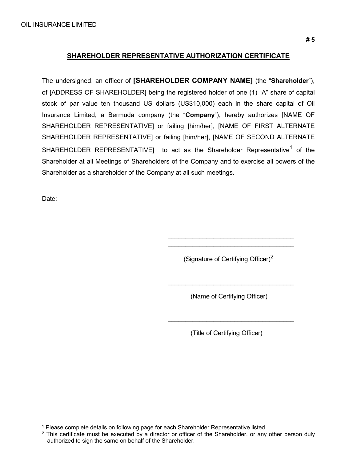## **SHAREHOLDER REPRESENTATIVE AUTHORIZATION CERTIFICATE**

The undersigned, an officer of **[SHAREHOLDER COMPANY NAME]** (the "**Shareholder**"), of [ADDRESS OF SHAREHOLDER] being the registered holder of one (1) "A" share of capital stock of par value ten thousand US dollars (US\$10,000) each in the share capital of Oil Insurance Limited, a Bermuda company (the "**Company**"), hereby authorizes [NAME OF SHAREHOLDER REPRESENTATIVE] or failing [him/her], [NAME OF FIRST ALTERNATE SHAREHOLDER REPRESENTATIVE] or failing [him/her], [NAME OF SECOND ALTERNATE SHAREHOLDER REPRESENTATIVE] to act as the Shareholder Representative<sup>1</sup> of the Shareholder at all Meetings of Shareholders of the Company and to exercise all powers of the Shareholder as a shareholder of the Company at all such meetings.

Date:

(Signature of Certifying Officer) $2$ 

\_\_\_\_\_\_\_\_\_\_\_\_\_\_\_\_\_\_\_\_\_\_\_\_\_\_\_\_\_\_\_\_\_\_\_\_ \_\_\_\_\_\_\_\_\_\_\_\_\_\_\_\_\_\_\_\_\_\_\_\_\_\_\_\_\_\_\_\_\_\_\_\_

(Name of Certifying Officer)

\_\_\_\_\_\_\_\_\_\_\_\_\_\_\_\_\_\_\_\_\_\_\_\_\_\_\_\_\_\_\_\_\_\_\_\_

\_\_\_\_\_\_\_\_\_\_\_\_\_\_\_\_\_\_\_\_\_\_\_\_\_\_\_\_\_\_\_\_\_\_\_\_

(Title of Certifying Officer)

 <sup>1</sup> Please complete details on following page for each Shareholder Representative listed.

 $2$  This certificate must be executed by a director or officer of the Shareholder, or any other person duly authorized to sign the same on behalf of the Shareholder.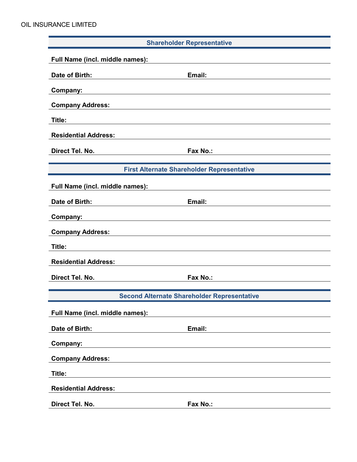| <b>Shareholder Representative</b>                  |                                                   |  |  |  |  |  |  |
|----------------------------------------------------|---------------------------------------------------|--|--|--|--|--|--|
| Full Name (incl. middle names):                    |                                                   |  |  |  |  |  |  |
| Date of Birth:                                     | Email:                                            |  |  |  |  |  |  |
| Company:                                           |                                                   |  |  |  |  |  |  |
| <b>Company Address:</b>                            |                                                   |  |  |  |  |  |  |
| Title:                                             |                                                   |  |  |  |  |  |  |
| <b>Residential Address:</b>                        |                                                   |  |  |  |  |  |  |
| Direct Tel. No.                                    | Fax No.:                                          |  |  |  |  |  |  |
|                                                    |                                                   |  |  |  |  |  |  |
|                                                    | <b>First Alternate Shareholder Representative</b> |  |  |  |  |  |  |
| Full Name (incl. middle names):                    |                                                   |  |  |  |  |  |  |
| Date of Birth:                                     | Email:                                            |  |  |  |  |  |  |
| Company:                                           |                                                   |  |  |  |  |  |  |
| <b>Company Address:</b>                            |                                                   |  |  |  |  |  |  |
| Title:                                             |                                                   |  |  |  |  |  |  |
| <b>Residential Address:</b>                        |                                                   |  |  |  |  |  |  |
| Direct Tel. No.                                    | Fax No.:                                          |  |  |  |  |  |  |
|                                                    |                                                   |  |  |  |  |  |  |
| <b>Second Alternate Shareholder Representative</b> |                                                   |  |  |  |  |  |  |
| Full Name (incl. middle names):                    |                                                   |  |  |  |  |  |  |
| Date of Birth:                                     | Email:                                            |  |  |  |  |  |  |
| Company:                                           |                                                   |  |  |  |  |  |  |
| <b>Company Address:</b>                            |                                                   |  |  |  |  |  |  |
| Title:                                             |                                                   |  |  |  |  |  |  |
| <b>Residential Address:</b>                        |                                                   |  |  |  |  |  |  |
| Direct Tel. No.                                    | Fax No.:                                          |  |  |  |  |  |  |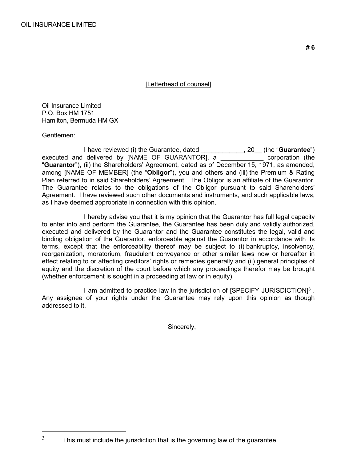### [Letterhead of counsel]

Oil Insurance Limited P.O. Box HM 1751 Hamilton, Bermuda HM GX

Gentlemen:

I have reviewed (i) the Guarantee, dated \_\_\_\_\_\_\_\_\_\_\_\_, 20\_\_ (the "**Guarantee**") executed and delivered by [NAME OF GUARANTOR], a \_\_\_\_\_\_\_\_\_\_\_\_ corporation (the "**Guarantor**"), (ii) the Shareholders' Agreement, dated as of December 15, 1971, as amended, among [NAME OF MEMBER] (the "**Obligor**"), you and others and (iii) the Premium & Rating Plan referred to in said Shareholders' Agreement. The Obligor is an affiliate of the Guarantor. The Guarantee relates to the obligations of the Obligor pursuant to said Shareholders' Agreement. I have reviewed such other documents and instruments, and such applicable laws, as I have deemed appropriate in connection with this opinion.

I hereby advise you that it is my opinion that the Guarantor has full legal capacity to enter into and perform the Guarantee, the Guarantee has been duly and validly authorized, executed and delivered by the Guarantor and the Guarantee constitutes the legal, valid and binding obligation of the Guarantor, enforceable against the Guarantor in accordance with its terms, except that the enforceability thereof may be subject to (i) bankruptcy, insolvency, reorganization, moratorium, fraudulent conveyance or other similar laws now or hereafter in effect relating to or affecting creditors' rights or remedies generally and (ii) general principles of equity and the discretion of the court before which any proceedings therefor may be brought (whether enforcement is sought in a proceeding at law or in equity).

I am admitted to practice law in the jurisdiction of [SPECIFY JURISDICTION]<sup>3</sup>. Any assignee of your rights under the Guarantee may rely upon this opinion as though addressed to it.

Sincerely,

 $3$  This must include the jurisdiction that is the governing law of the guarantee.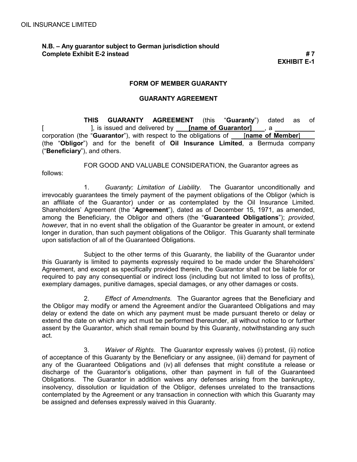follows:

## **N.B. – Any guarantor subject to German jurisdiction should Complete Exhibit E-2 instead # 7**

**EXHIBIT E-1**

#### **FORM OF MEMBER GUARANTY**

#### **GUARANTY AGREEMENT**

**THIS GUARANTY AGREEMENT** (this "**Guaranty**") dated as of [ ], is issued and delivered by **[name of Guarantor]** , a corporation (the "**Guarantor**"), with respect to the obligations of [**name of Member**] (the "**Obligor**") and for the benefit of **Oil Insurance Limited**, a Bermuda company ("**Beneficiary**"), and others.

FOR GOOD AND VALUABLE CONSIDERATION, the Guarantor agrees as

1. *Guaranty; Limitation of Liability*. The Guarantor unconditionally and irrevocably guarantees the timely payment of the payment obligations of the Obligor (which is an affiliate of the Guarantor) under or as contemplated by the Oil Insurance Limited. Shareholders' Agreement (the "**Agreement**"), dated as of December 15, 1971, as amended, among the Beneficiary, the Obligor and others (the "**Guaranteed Obligations**"); *provided*, *however*, that in no event shall the obligation of the Guarantor be greater in amount, or extend longer in duration, than such payment obligations of the Obligor. This Guaranty shall terminate upon satisfaction of all of the Guaranteed Obligations.

Subject to the other terms of this Guaranty, the liability of the Guarantor under this Guaranty is limited to payments expressly required to be made under the Shareholders' Agreement, and except as specifically provided therein, the Guarantor shall not be liable for or required to pay any consequential or indirect loss (including but not limited to loss of profits), exemplary damages, punitive damages, special damages, or any other damages or costs.

2. *Effect of Amendments*. The Guarantor agrees that the Beneficiary and the Obligor may modify or amend the Agreement and/or the Guaranteed Obligations and may delay or extend the date on which any payment must be made pursuant thereto or delay or extend the date on which any act must be performed thereunder, all without notice to or further assent by the Guarantor, which shall remain bound by this Guaranty, notwithstanding any such act.

3. *Waiver of Rights*. The Guarantor expressly waives (i) protest, (ii) notice of acceptance of this Guaranty by the Beneficiary or any assignee, (iii) demand for payment of any of the Guaranteed Obligations and (iv) all defenses that might constitute a release or discharge of the Guarantor's obligations, other than payment in full of the Guaranteed Obligations. The Guarantor in addition waives any defenses arising from the bankruptcy, insolvency, dissolution or liquidation of the Obligor, defenses unrelated to the transactions contemplated by the Agreement or any transaction in connection with which this Guaranty may be assigned and defenses expressly waived in this Guaranty.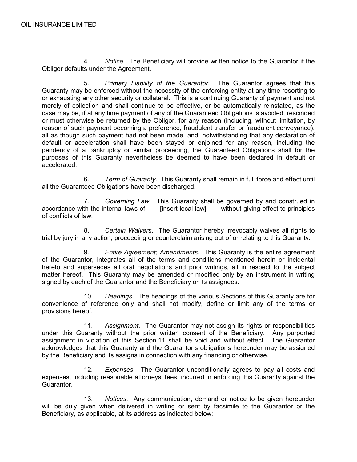4. *Notice*. The Beneficiary will provide written notice to the Guarantor if the Obligor defaults under the Agreement.

5. *Primary Liability of the Guarantor*. The Guarantor agrees that this Guaranty may be enforced without the necessity of the enforcing entity at any time resorting to or exhausting any other security or collateral. This is a continuing Guaranty of payment and not merely of collection and shall continue to be effective, or be automatically reinstated, as the case may be, if at any time payment of any of the Guaranteed Obligations is avoided, rescinded or must otherwise be returned by the Obligor, for any reason (including, without limitation, by reason of such payment becoming a preference, fraudulent transfer or fraudulent conveyance), all as though such payment had not been made, and, notwithstanding that any declaration of default or acceleration shall have been stayed or enjoined for any reason, including the pendency of a bankruptcy or similar proceeding, the Guaranteed Obligations shall for the purposes of this Guaranty nevertheless be deemed to have been declared in default or accelerated.

6. *Term of Guaranty*. This Guaranty shall remain in full force and effect until all the Guaranteed Obligations have been discharged.

7. *Governing Law*. This Guaranty shall be governed by and construed in accordance with the internal laws of [insert local law] without giving effect to principles of conflicts of law.

8. *Certain Waivers*. The Guarantor hereby irrevocably waives all rights to trial by jury in any action, proceeding or counterclaim arising out of or relating to this Guaranty.

9. *Entire Agreement; Amendments*. This Guaranty is the entire agreement of the Guarantor, integrates all of the terms and conditions mentioned herein or incidental hereto and supersedes all oral negotiations and prior writings, all in respect to the subject matter hereof. This Guaranty may be amended or modified only by an instrument in writing signed by each of the Guarantor and the Beneficiary or its assignees.

10. *Headings*. The headings of the various Sections of this Guaranty are for convenience of reference only and shall not modify, define or limit any of the terms or provisions hereof.

11. *Assignment*. The Guarantor may not assign its rights or responsibilities under this Guaranty without the prior written consent of the Beneficiary. Any purported assignment in violation of this Section 11 shall be void and without effect. The Guarantor acknowledges that this Guaranty and the Guarantor's obligations hereunder may be assigned by the Beneficiary and its assigns in connection with any financing or otherwise.

12. *Expenses*. The Guarantor unconditionally agrees to pay all costs and expenses, including reasonable attorneys' fees, incurred in enforcing this Guaranty against the Guarantor.

13. *Notices*. Any communication, demand or notice to be given hereunder will be duly given when delivered in writing or sent by facsimile to the Guarantor or the Beneficiary, as applicable, at its address as indicated below: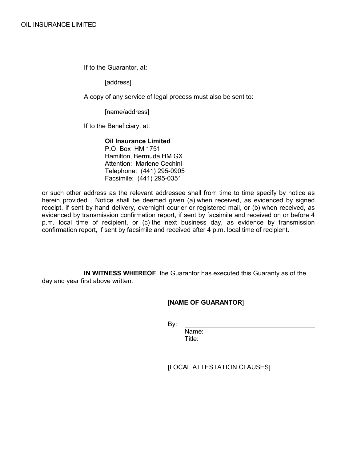If to the Guarantor, at:

[address]

A copy of any service of legal process must also be sent to:

[name/address]

If to the Beneficiary, at:

#### **Oil Insurance Limited**

P.O. Box HM 1751 Hamilton, Bermuda HM GX Attention: Marlene Cechini Telephone: (441) 295-0905 Facsimile: (441) 295-0351

or such other address as the relevant addressee shall from time to time specify by notice as herein provided. Notice shall be deemed given (a) when received, as evidenced by signed receipt, if sent by hand delivery, overnight courier or registered mail, or (b) when received, as evidenced by transmission confirmation report, if sent by facsimile and received on or before 4 p.m. local time of recipient, or (c) the next business day, as evidence by transmission confirmation report, if sent by facsimile and received after 4 p.m. local time of recipient.

**IN WITNESS WHEREOF**, the Guarantor has executed this Guaranty as of the day and year first above written.

[**NAME OF GUARANTOR**]

By:

Name: Title:

[LOCAL ATTESTATION CLAUSES]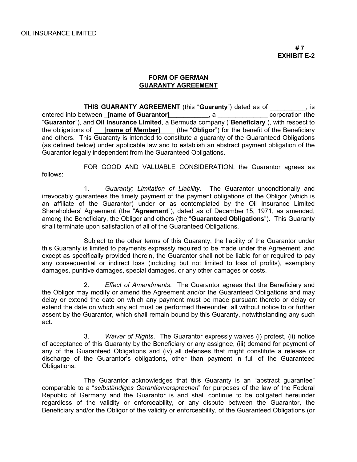#### **FORM OF GERMAN GUARANTY AGREEMENT**

**THIS GUARANTY AGREEMENT** (this "**Guaranty**") dated as of \_\_\_\_\_\_\_\_\_\_, is entered into between [name of Guarantor] \_\_\_\_\_\_\_\_\_\_, a \_\_\_\_\_\_\_\_\_\_\_\_\_\_ corporation (the "**Guarantor**"), and **Oil Insurance Limited**, a Bermuda company ("**Beneficiary**"), with respect to the obligations of \_\_\_[**name of Member**]\_\_\_\_ (the "**Obligor**") for the benefit of the Beneficiary and others. This Guaranty is intended to constitute a guaranty of the Guaranteed Obligations (as defined below) under applicable law and to establish an abstract payment obligation of the Guarantor legally independent from the Guaranteed Obligations.

FOR GOOD AND VALUABLE CONSIDERATION, the Guarantor agrees as follows:

1. *Guaranty; Limitation of Liability*. The Guarantor unconditionally and irrevocably guarantees the timely payment of the payment obligations of the Obligor (which is an affiliate of the Guarantor) under or as contemplated by the Oil Insurance Limited Shareholders' Agreement (the "**Agreement**"), dated as of December 15, 1971, as amended, among the Beneficiary, the Obligor and others (the "**Guaranteed Obligations**"). This Guaranty shall terminate upon satisfaction of all of the Guaranteed Obligations.

Subject to the other terms of this Guaranty, the liability of the Guarantor under this Guaranty is limited to payments expressly required to be made under the Agreement, and except as specifically provided therein, the Guarantor shall not be liable for or required to pay any consequential or indirect loss (including but not limited to loss of profits), exemplary damages, punitive damages, special damages, or any other damages or costs.

2. *Effect of Amendments*. The Guarantor agrees that the Beneficiary and the Obligor may modify or amend the Agreement and/or the Guaranteed Obligations and may delay or extend the date on which any payment must be made pursuant thereto or delay or extend the date on which any act must be performed thereunder, all without notice to or further assent by the Guarantor, which shall remain bound by this Guaranty, notwithstanding any such act.

3. *Waiver of Rights*. The Guarantor expressly waives (i) protest, (ii) notice of acceptance of this Guaranty by the Beneficiary or any assignee, (iii) demand for payment of any of the Guaranteed Obligations and (iv) all defenses that might constitute a release or discharge of the Guarantor's obligations, other than payment in full of the Guaranteed Obligations.

The Guarantor acknowledges that this Guaranty is an "abstract guarantee" comparable to a "*selbständiges Garantierversprechen*" for purposes of the law of the Federal Republic of Germany and the Guarantor is and shall continue to be obligated hereunder regardless of the validity or enforceability, or any dispute between the Guarantor, the Beneficiary and/or the Obligor of the validity or enforceability, of the Guaranteed Obligations (or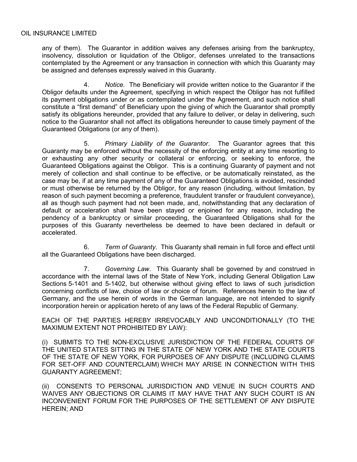any of them). The Guarantor in addition waives any defenses arising from the bankruptcy, insolvency, dissolution or liquidation of the Obligor, defenses unrelated to the transactions contemplated by the Agreement or any transaction in connection with which this Guaranty may be assigned and defenses expressly waived in this Guaranty.

4. *Notice*. The Beneficiary will provide written notice to the Guarantor if the Obligor defaults under the Agreement, specifying in which respect the Obligor has not fulfilled its payment obligations under or as contemplated under the Agreement, and such notice shall constitute a "first demand" of Beneficiary upon the giving of which the Guarantor shall promptly satisfy its obligations hereunder, provided that any failure to deliver, or delay in delivering, such notice to the Guarantor shall not affect its obligations hereunder to cause timely payment of the Guaranteed Obligations (or any of them).

5. *Primary Liability of the Guarantor*. The Guarantor agrees that this Guaranty may be enforced without the necessity of the enforcing entity at any time resorting to or exhausting any other security or collateral or enforcing, or seeking to enforce, the Guaranteed Obligations against the Obligor. This is a continuing Guaranty of payment and not merely of collection and shall continue to be effective, or be automatically reinstated, as the case may be, if at any time payment of any of the Guaranteed Obligations is avoided, rescinded or must otherwise be returned by the Obligor, for any reason (including, without limitation, by reason of such payment becoming a preference, fraudulent transfer or fraudulent conveyance), all as though such payment had not been made, and, notwithstanding that any declaration of default or acceleration shall have been stayed or enjoined for any reason, including the pendency of a bankruptcy or similar proceeding, the Guaranteed Obligations shall for the purposes of this Guaranty nevertheless be deemed to have been declared in default or accelerated.

6. *Term of Guaranty*. This Guaranty shall remain in full force and effect until all the Guaranteed Obligations have been discharged.

7. *Governing Law*. This Guaranty shall be governed by and construed in accordance with the internal laws of the State of New York, including General Obligation Law Sections 5-1401 and 5-1402, but otherwise without giving effect to laws of such jurisdiction concerning conflicts of law, choice of law or choice of forum. References herein to the law of Germany, and the use herein of words in the German language, are not intended to signify incorporation herein or application hereto of any laws of the Federal Republic of Germany.

EACH OF THE PARTIES HEREBY IRREVOCABLY AND UNCONDITIONALLY (TO THE MAXIMUM EXTENT NOT PROHIBITED BY LAW):

(i) SUBMITS TO THE NON-EXCLUSIVE JURISDICTION OF THE FEDERAL COURTS OF THE UNITED STATES SITTING IN THE STATE OF NEW YORK AND THE STATE COURTS OF THE STATE OF NEW YORK, FOR PURPOSES OF ANY DISPUTE (INCLUDING CLAIMS FOR SET-OFF AND COUNTERCLAIM) WHICH MAY ARISE IN CONNECTION WITH THIS GUARANTY AGREEMENT;

(ii) CONSENTS TO PERSONAL JURISDICTION AND VENUE IN SUCH COURTS AND WAIVES ANY OBJECTIONS OR CLAIMS IT MAY HAVE THAT ANY SUCH COURT IS AN INCONVENIENT FORUM FOR THE PURPOSES OF THE SETTLEMENT OF ANY DISPUTE HEREIN; AND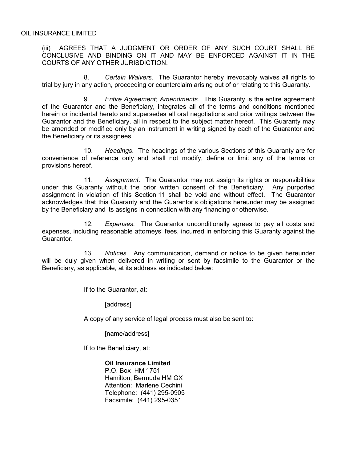(iii) AGREES THAT A JUDGMENT OR ORDER OF ANY SUCH COURT SHALL BE CONCLUSIVE AND BINDING ON IT AND MAY BE ENFORCED AGAINST IT IN THE COURTS OF ANY OTHER JURISDICTION.

8. *Certain Waivers*. The Guarantor hereby irrevocably waives all rights to trial by jury in any action, proceeding or counterclaim arising out of or relating to this Guaranty.

9. *Entire Agreement; Amendments*. This Guaranty is the entire agreement of the Guarantor and the Beneficiary, integrates all of the terms and conditions mentioned herein or incidental hereto and supersedes all oral negotiations and prior writings between the Guarantor and the Beneficiary, all in respect to the subject matter hereof. This Guaranty may be amended or modified only by an instrument in writing signed by each of the Guarantor and the Beneficiary or its assignees.

10. *Headings*. The headings of the various Sections of this Guaranty are for convenience of reference only and shall not modify, define or limit any of the terms or provisions hereof.

11. *Assignment*. The Guarantor may not assign its rights or responsibilities under this Guaranty without the prior written consent of the Beneficiary. Any purported assignment in violation of this Section 11 shall be void and without effect. The Guarantor acknowledges that this Guaranty and the Guarantor's obligations hereunder may be assigned by the Beneficiary and its assigns in connection with any financing or otherwise.

12. *Expenses*. The Guarantor unconditionally agrees to pay all costs and expenses, including reasonable attorneys' fees, incurred in enforcing this Guaranty against the Guarantor.

13. *Notices*. Any communication, demand or notice to be given hereunder will be duly given when delivered in writing or sent by facsimile to the Guarantor or the Beneficiary, as applicable, at its address as indicated below:

If to the Guarantor, at:

[address]

A copy of any service of legal process must also be sent to:

[name/address]

If to the Beneficiary, at:

**Oil Insurance Limited** P.O. Box HM 1751 Hamilton, Bermuda HM GX Attention: Marlene Cechini Telephone: (441) 295-0905 Facsimile: (441) 295-0351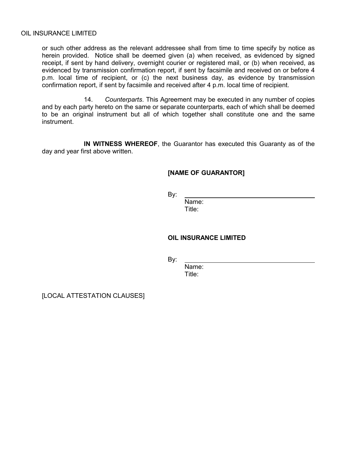#### OIL INSURANCE LIMITED

or such other address as the relevant addressee shall from time to time specify by notice as herein provided. Notice shall be deemed given (a) when received, as evidenced by signed receipt, if sent by hand delivery, overnight courier or registered mail, or (b) when received, as evidenced by transmission confirmation report, if sent by facsimile and received on or before 4 p.m. local time of recipient, or (c) the next business day, as evidence by transmission confirmation report, if sent by facsimile and received after 4 p.m. local time of recipient.

14. *Counterparts*. This Agreement may be executed in any number of copies and by each party hereto on the same or separate counterparts, each of which shall be deemed to be an original instrument but all of which together shall constitute one and the same instrument.

**IN WITNESS WHEREOF**, the Guarantor has executed this Guaranty as of the day and year first above written.

#### **[NAME OF GUARANTOR]**

By:

Name: Title:

#### **OIL INSURANCE LIMITED**

By:

Name:

Title:

[LOCAL ATTESTATION CLAUSES]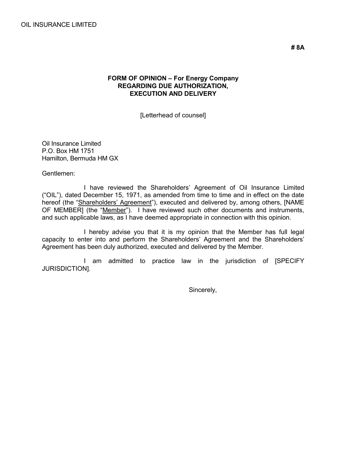#### **FORM OF OPINION – For Energy Company REGARDING DUE AUTHORIZATION, EXECUTION AND DELIVERY**

[Letterhead of counsel]

Oil Insurance Limited P.O. Box HM 1751 Hamilton, Bermuda HM GX

Gentlemen:

I have reviewed the Shareholders' Agreement of Oil Insurance Limited ("OIL"), dated December 15, 1971, as amended from time to time and in effect on the date hereof (the "Shareholders' Agreement"), executed and delivered by, among others, [NAME OF MEMBER] (the "Member"). I have reviewed such other documents and instruments, and such applicable laws, as I have deemed appropriate in connection with this opinion.

I hereby advise you that it is my opinion that the Member has full legal capacity to enter into and perform the Shareholders' Agreement and the Shareholders' Agreement has been duly authorized, executed and delivered by the Member.

I am admitted to practice law in the jurisdiction of [SPECIFY JURISDICTION].

Sincerely,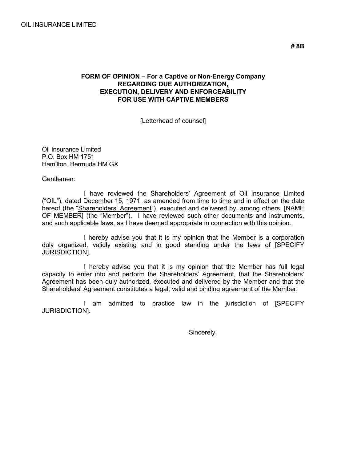#### **FORM OF OPINION – For a Captive or Non-Energy Company REGARDING DUE AUTHORIZATION, EXECUTION, DELIVERY AND ENFORCEABILITY FOR USE WITH CAPTIVE MEMBERS**

[Letterhead of counsel]

Oil Insurance Limited P.O. Box HM 1751 Hamilton, Bermuda HM GX

Gentlemen:

I have reviewed the Shareholders' Agreement of Oil Insurance Limited ("OIL"), dated December 15, 1971, as amended from time to time and in effect on the date hereof (the "Shareholders' Agreement"), executed and delivered by, among others, [NAME OF MEMBER] (the "Member"). I have reviewed such other documents and instruments, and such applicable laws, as I have deemed appropriate in connection with this opinion.

I hereby advise you that it is my opinion that the Member is a corporation duly organized, validly existing and in good standing under the laws of [SPECIFY JURISDICTION].

I hereby advise you that it is my opinion that the Member has full legal capacity to enter into and perform the Shareholders' Agreement, that the Shareholders' Agreement has been duly authorized, executed and delivered by the Member and that the Shareholders' Agreement constitutes a legal, valid and binding agreement of the Member.

I am admitted to practice law in the jurisdiction of [SPECIFY JURISDICTION].

Sincerely,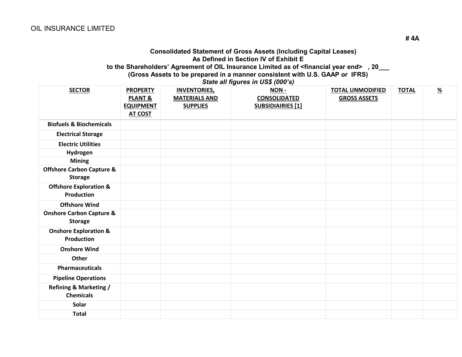#### **Consolidated Statement of Gross Assets (Including Capital Leases) As Defined in Section IV of Exhibit E to the Shareholders' Agreement of OIL Insurance Limited as of <financial year end> , 20\_\_\_ (Gross Assets to be prepared in a manner consistent with U.S. GAAP or IFRS)**

*State all figures in US\$ (000's)*

| <b>SECTOR</b>                                          | <b>PROPERTY</b><br><b>PLANT &amp;</b><br><b>EQUIPMENT</b><br><b>AT COST</b> | <b>INVENTORIES,</b><br><b>MATERIALS AND</b><br><b>SUPPLIES</b> | <b>NON-</b><br><b>CONSOLIDATED</b><br><b>SUBSIDIAIRIES [1]</b> | <b>TOTAL UNMODIFIED</b><br><b>GROSS ASSETS</b> | <b>TOTAL</b> | $\frac{\%}{\sqrt{2}}$ |
|--------------------------------------------------------|-----------------------------------------------------------------------------|----------------------------------------------------------------|----------------------------------------------------------------|------------------------------------------------|--------------|-----------------------|
| <b>Biofuels &amp; Biochemicals</b>                     |                                                                             |                                                                |                                                                |                                                |              |                       |
| <b>Electrical Storage</b>                              |                                                                             |                                                                |                                                                |                                                |              |                       |
| <b>Electric Utilities</b>                              |                                                                             |                                                                |                                                                |                                                |              |                       |
| Hydrogen                                               |                                                                             |                                                                |                                                                |                                                |              |                       |
| <b>Mining</b>                                          |                                                                             |                                                                |                                                                |                                                |              |                       |
| <b>Offshore Carbon Capture &amp;</b><br><b>Storage</b> |                                                                             |                                                                |                                                                |                                                |              |                       |
| <b>Offshore Exploration &amp;</b><br><b>Production</b> |                                                                             |                                                                |                                                                |                                                |              |                       |
| <b>Offshore Wind</b>                                   |                                                                             |                                                                |                                                                |                                                |              |                       |
| <b>Onshore Carbon Capture &amp;</b><br><b>Storage</b>  |                                                                             |                                                                |                                                                |                                                |              |                       |
| <b>Onshore Exploration &amp;</b><br><b>Production</b>  |                                                                             |                                                                |                                                                |                                                |              |                       |
| <b>Onshore Wind</b>                                    |                                                                             |                                                                |                                                                |                                                |              |                       |
| Other                                                  |                                                                             |                                                                |                                                                |                                                |              |                       |
| <b>Pharmaceuticals</b>                                 |                                                                             |                                                                |                                                                |                                                |              |                       |
| <b>Pipeline Operations</b>                             |                                                                             |                                                                |                                                                |                                                |              |                       |
| <b>Refining &amp; Marketing /</b><br><b>Chemicals</b>  |                                                                             |                                                                |                                                                |                                                |              |                       |
| Solar                                                  |                                                                             |                                                                |                                                                |                                                |              |                       |
| <b>Total</b>                                           |                                                                             |                                                                |                                                                |                                                |              |                       |

**# 4A**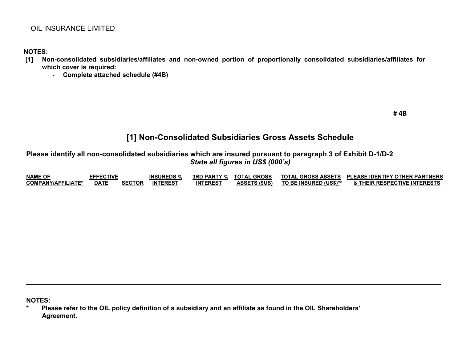## OIL INSURANCE LIMITED

**NOTES:**

- **[1] Non-consolidated subsidiaries/affiliates and non-owned portion of proportionally consolidated subsidiaries/affiliates for which cover is required:**
	- **Complete attached schedule (#4B)**

## **[1] Non-Consolidated Subsidiaries Gross Assets Schedule**

**Please identify all non-consolidated subsidiaries which are insured pursuant to paragraph 3 of Exhibit D-1/D-2** *State all figures in US\$ (000's)*

| <b>NAME OF</b>            | <b>EFFECTIVE</b> |               | <b>INSUREDS %</b> | <b>3RD PARTY %</b> | <b>TOTAL GROSS</b>   | <b>TOTAL GROSS ASSETS</b> | <b>PLEASE IDENTIFY OTHER PARTNERS</b> |
|---------------------------|------------------|---------------|-------------------|--------------------|----------------------|---------------------------|---------------------------------------|
| <b>COMPANY/AFFILIATE*</b> | <b>DATE</b>      | <b>SECTOR</b> | <b>INTEREST</b>   | <b>INTEREST</b>    | <b>ASSETS (\$US)</b> | TO BE INSURED (US\$)**    | <b>: THEIR RESPECTIVE INTERESTS</b>   |

**NOTES:**

**\* Please refer to the OIL policy definition of a subsidiary and an affiliate as found in the OIL Shareholders' Agreement.**